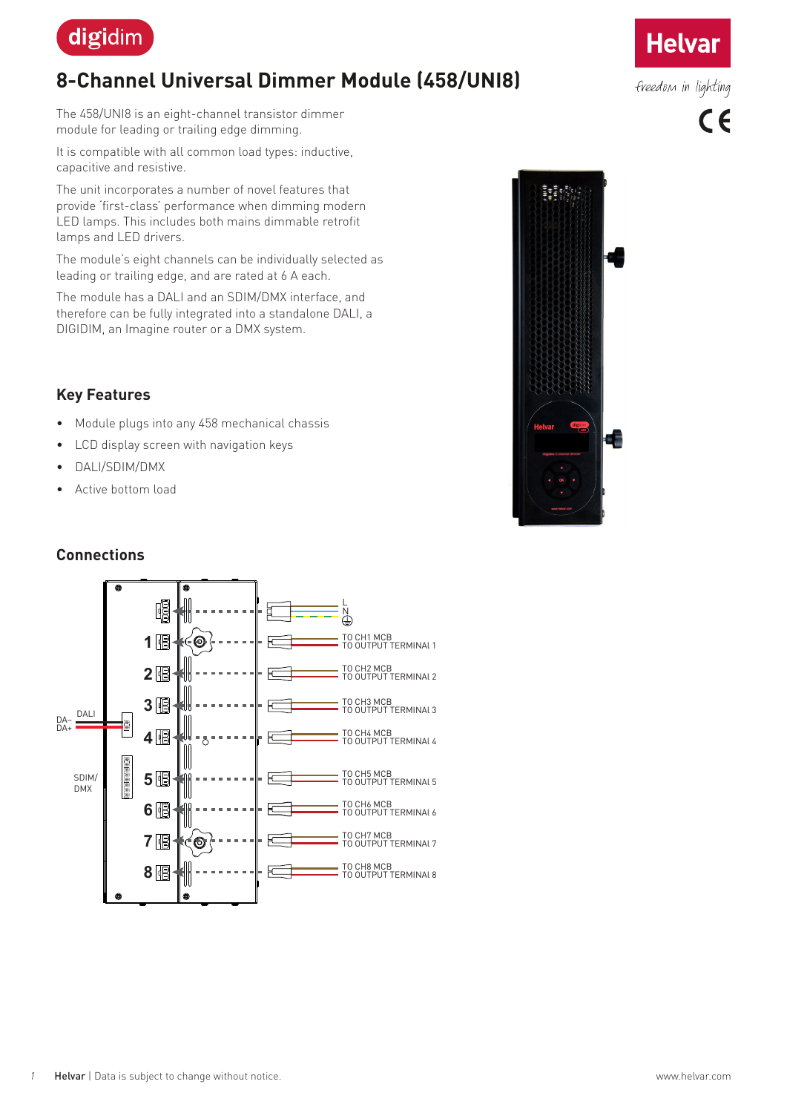

# **8-Channel Universal Dimmer Module (458/UNI8)**

The 458/UNI8 is an eight-channel transistor dimmer module for leading or trailing edge dimming.

It is compatible with all common load types: inductive, capacitive and resistive.

The unit incorporates a number of novel features that provide 'first-class' performance when dimming modern LED lamps. This includes both mains dimmable retrofit lamps and LED drivers.

The module's eight channels can be individually selected as leading or trailing edge, and are rated at 6 A each.

The module has a DALI and an SDIM/DMX interface, and therefore can be fully integrated into a standalone DALI, a DIGIDIM, an Imagine router or a DMX system.

#### **Key Features**

- Module plugs into any 458 mechanical chassis
- LCD display screen with navigation keys
- DALI/SDIM/DMX
- Active bottom load

#### **Connections**







freedom in lighting